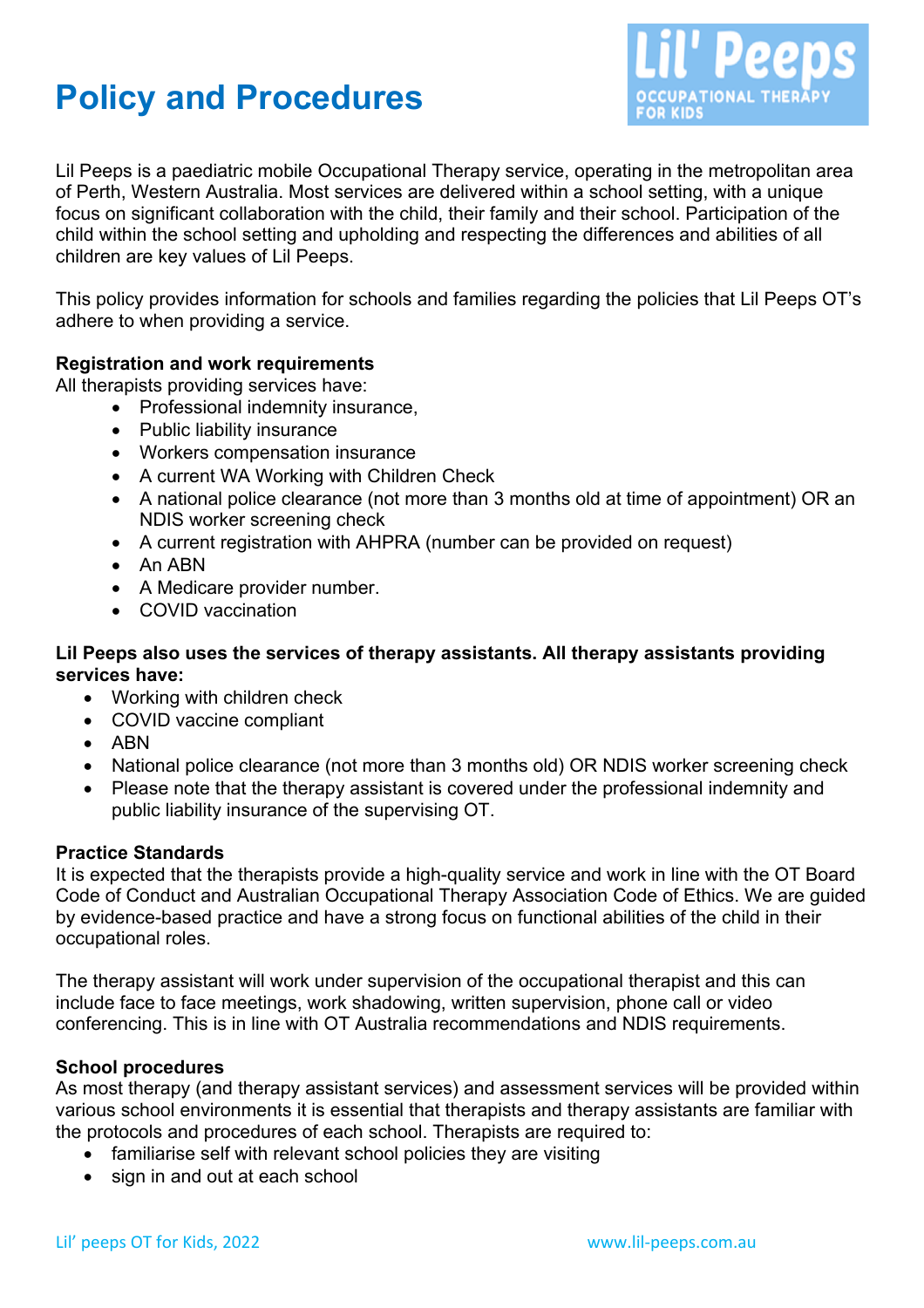# **Policy and Procedures**



Lil Peeps is a paediatric mobile Occupational Therapy service, operating in the metropolitan area of Perth, Western Australia. Most services are delivered within a school setting, with a unique focus on significant collaboration with the child, their family and their school. Participation of the child within the school setting and upholding and respecting the differences and abilities of all children are key values of Lil Peeps.

This policy provides information for schools and families regarding the policies that Lil Peeps OT's adhere to when providing a service.

## **Registration and work requirements**

All therapists providing services have:

- Professional indemnity insurance.
- Public liability insurance
- Workers compensation insurance
- A current WA Working with Children Check
- A national police clearance (not more than 3 months old at time of appointment) OR an NDIS worker screening check
- A current registration with AHPRA (number can be provided on request)
- An ABN
- A Medicare provider number.
- COVID vaccination

## **Lil Peeps also uses the services of therapy assistants. All therapy assistants providing services have:**

- Working with children check
- COVID vaccine compliant
- ABN
- National police clearance (not more than 3 months old) OR NDIS worker screening check
- Please note that the therapy assistant is covered under the professional indemnity and public liability insurance of the supervising OT.

#### **Practice Standards**

It is expected that the therapists provide a high-quality service and work in line with the OT Board Code of Conduct and Australian Occupational Therapy Association Code of Ethics. We are guided by evidence-based practice and have a strong focus on functional abilities of the child in their occupational roles.

The therapy assistant will work under supervision of the occupational therapist and this can include face to face meetings, work shadowing, written supervision, phone call or video conferencing. This is in line with OT Australia recommendations and NDIS requirements.

#### **School procedures**

As most therapy (and therapy assistant services) and assessment services will be provided within various school environments it is essential that therapists and therapy assistants are familiar with the protocols and procedures of each school. Therapists are required to:

- familiarise self with relevant school policies they are visiting
- sign in and out at each school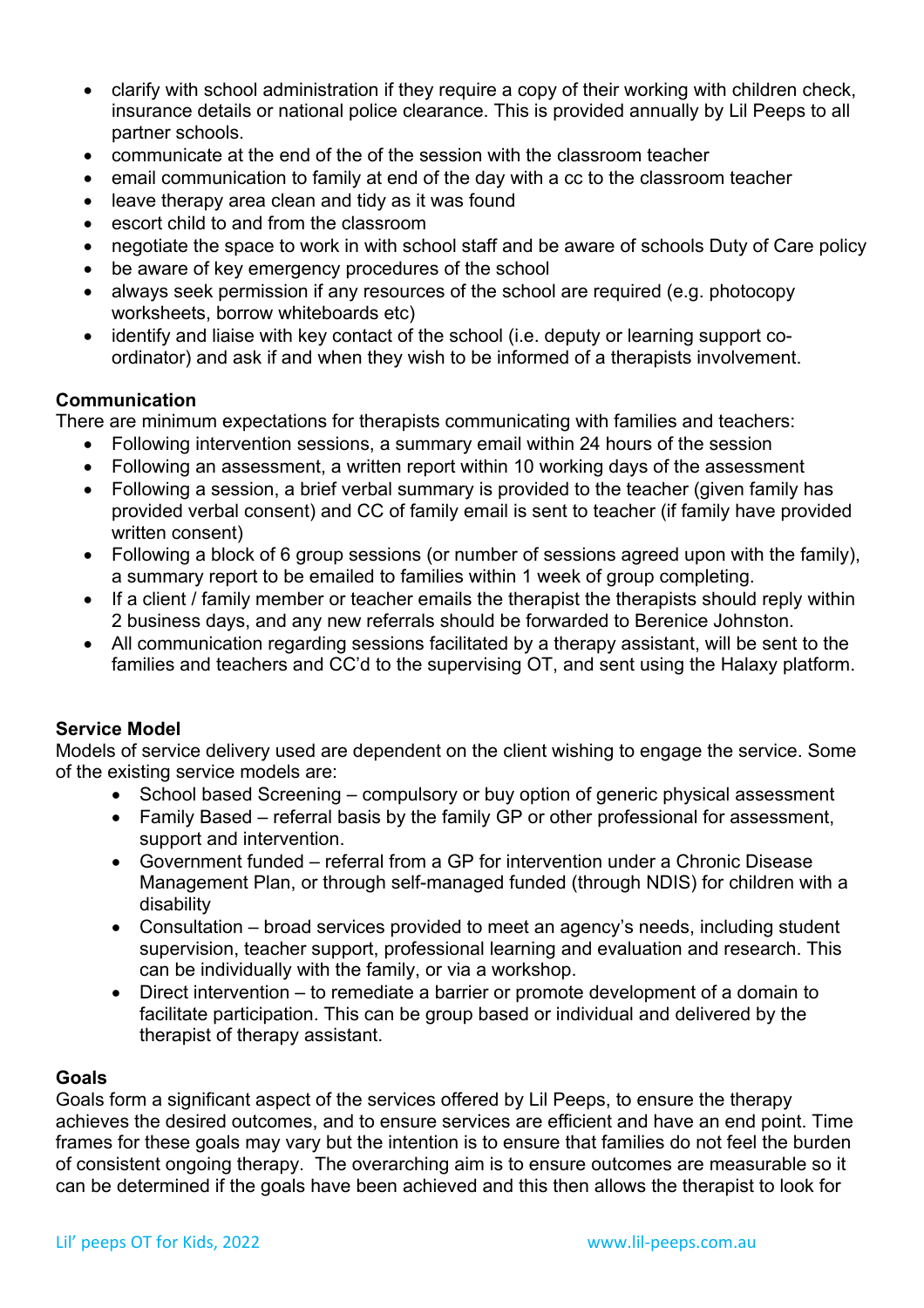- clarify with school administration if they require a copy of their working with children check, insurance details or national police clearance. This is provided annually by Lil Peeps to all partner schools.
- communicate at the end of the of the session with the classroom teacher
- email communication to family at end of the day with a cc to the classroom teacher
- leave therapy area clean and tidy as it was found
- escort child to and from the classroom
- negotiate the space to work in with school staff and be aware of schools Duty of Care policy
- be aware of key emergency procedures of the school
- always seek permission if any resources of the school are required (e.g. photocopy worksheets, borrow whiteboards etc)
- identify and liaise with key contact of the school (i.e. deputy or learning support coordinator) and ask if and when they wish to be informed of a therapists involvement.

# **Communication**

There are minimum expectations for therapists communicating with families and teachers:

- Following intervention sessions, a summary email within 24 hours of the session
- Following an assessment, a written report within 10 working days of the assessment
- Following a session, a brief verbal summary is provided to the teacher (given family has provided verbal consent) and CC of family email is sent to teacher (if family have provided written consent)
- Following a block of 6 group sessions (or number of sessions agreed upon with the family), a summary report to be emailed to families within 1 week of group completing.
- If a client / family member or teacher emails the therapist the therapists should reply within 2 business days, and any new referrals should be forwarded to Berenice Johnston.
- All communication regarding sessions facilitated by a therapy assistant, will be sent to the families and teachers and CC'd to the supervising OT, and sent using the Halaxy platform.

## **Service Model**

Models of service delivery used are dependent on the client wishing to engage the service. Some of the existing service models are:

- School based Screening compulsory or buy option of generic physical assessment
- Family Based referral basis by the family GP or other professional for assessment, support and intervention.
- Government funded referral from a GP for intervention under a Chronic Disease Management Plan, or through self-managed funded (through NDIS) for children with a disability
- Consultation broad services provided to meet an agency's needs, including student supervision, teacher support, professional learning and evaluation and research. This can be individually with the family, or via a workshop.
- Direct intervention to remediate a barrier or promote development of a domain to facilitate participation. This can be group based or individual and delivered by the therapist of therapy assistant.

## **Goals**

Goals form a significant aspect of the services offered by Lil Peeps, to ensure the therapy achieves the desired outcomes, and to ensure services are efficient and have an end point. Time frames for these goals may vary but the intention is to ensure that families do not feel the burden of consistent ongoing therapy. The overarching aim is to ensure outcomes are measurable so it can be determined if the goals have been achieved and this then allows the therapist to look for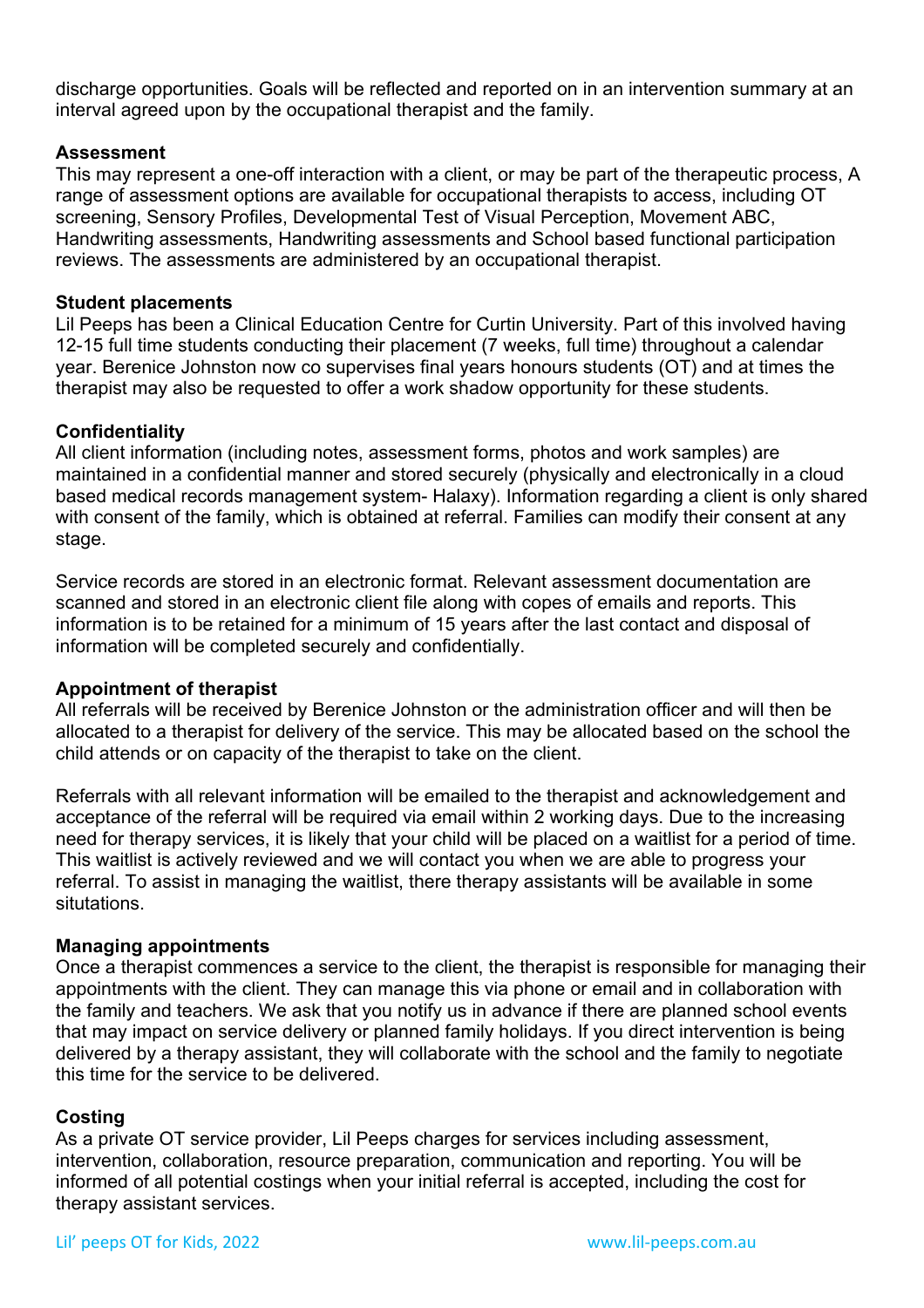discharge opportunities. Goals will be reflected and reported on in an intervention summary at an interval agreed upon by the occupational therapist and the family.

## **Assessment**

This may represent a one-off interaction with a client, or may be part of the therapeutic process, A range of assessment options are available for occupational therapists to access, including OT screening, Sensory Profiles, Developmental Test of Visual Perception, Movement ABC, Handwriting assessments, Handwriting assessments and School based functional participation reviews. The assessments are administered by an occupational therapist.

#### **Student placements**

Lil Peeps has been a Clinical Education Centre for Curtin University. Part of this involved having 12-15 full time students conducting their placement (7 weeks, full time) throughout a calendar year. Berenice Johnston now co supervises final years honours students (OT) and at times the therapist may also be requested to offer a work shadow opportunity for these students.

## **Confidentiality**

All client information (including notes, assessment forms, photos and work samples) are maintained in a confidential manner and stored securely (physically and electronically in a cloud based medical records management system- Halaxy). Information regarding a client is only shared with consent of the family, which is obtained at referral. Families can modify their consent at any stage.

Service records are stored in an electronic format. Relevant assessment documentation are scanned and stored in an electronic client file along with copes of emails and reports. This information is to be retained for a minimum of 15 years after the last contact and disposal of information will be completed securely and confidentially.

#### **Appointment of therapist**

All referrals will be received by Berenice Johnston or the administration officer and will then be allocated to a therapist for delivery of the service. This may be allocated based on the school the child attends or on capacity of the therapist to take on the client.

Referrals with all relevant information will be emailed to the therapist and acknowledgement and acceptance of the referral will be required via email within 2 working days. Due to the increasing need for therapy services, it is likely that your child will be placed on a waitlist for a period of time. This waitlist is actively reviewed and we will contact you when we are able to progress your referral. To assist in managing the waitlist, there therapy assistants will be available in some situtations.

#### **Managing appointments**

Once a therapist commences a service to the client, the therapist is responsible for managing their appointments with the client. They can manage this via phone or email and in collaboration with the family and teachers. We ask that you notify us in advance if there are planned school events that may impact on service delivery or planned family holidays. If you direct intervention is being delivered by a therapy assistant, they will collaborate with the school and the family to negotiate this time for the service to be delivered.

#### **Costing**

As a private OT service provider, Lil Peeps charges for services including assessment, intervention, collaboration, resource preparation, communication and reporting. You will be informed of all potential costings when your initial referral is accepted, including the cost for therapy assistant services.